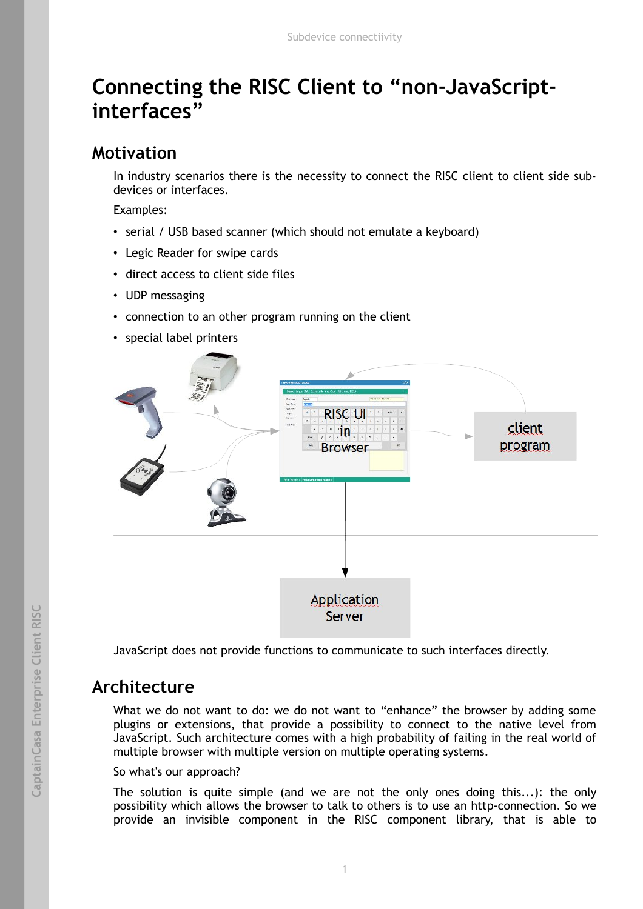# **Connecting the RISC Client to "non-JavaScriptinterfaces"**

### **Motivation**

In industry scenarios there is the necessity to connect the RISC client to client side subdevices or interfaces.

Examples:

- serial / USB based scanner (which should not emulate a keyboard)
- Legic Reader for swipe cards
- direct access to client side files
- UDP messaging
- connection to an other program running on the client
- special label printers



JavaScript does not provide functions to communicate to such interfaces directly.

# **Architecture**

What we do not want to do: we do not want to "enhance" the browser by adding some plugins or extensions, that provide a possibility to connect to the native level from JavaScript. Such architecture comes with a high probability of failing in the real world of multiple browser with multiple version on multiple operating systems.

#### So what's our approach?

The solution is quite simple (and we are not the only ones doing this...): the only possibility which allows the browser to talk to others is to use an http-connection. So we provide an invisible component in the RISC component library, that is able to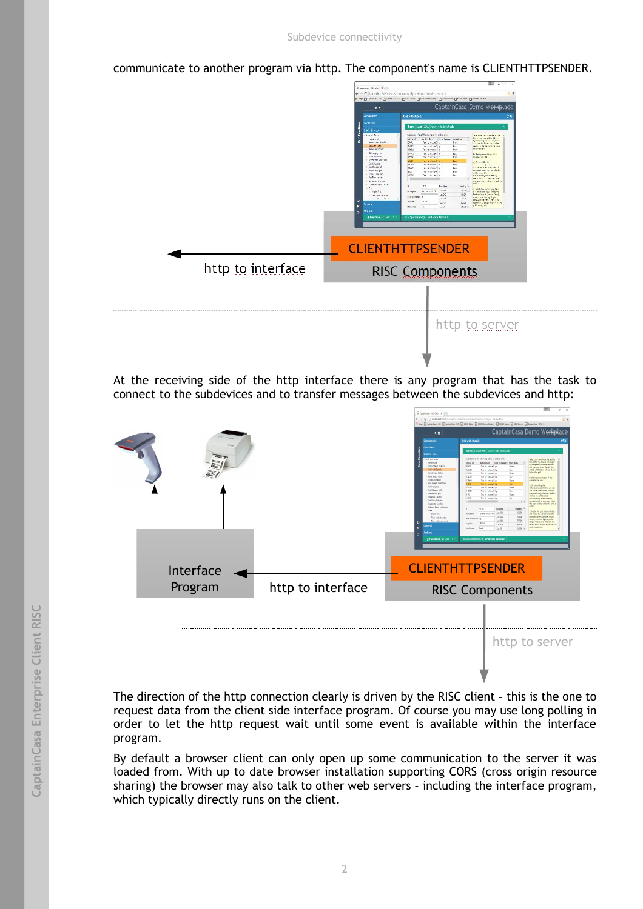communicate to another program via http. The component's name is CLIENTHTTPSENDER.

|                   | <b>If Levening His Unit, National</b>                                                                                                                                                                                                                                                                                                                                                                                                                                                                                                                                                                                                                                                                                                                                                                                                                                                                                                                                                                                                                                                                                                     | _____                                                                                                                                                                                                                                                                                                                                                                                                                                                                                                                                                                                                                                                                                                                                                                              |  |
|-------------------|-------------------------------------------------------------------------------------------------------------------------------------------------------------------------------------------------------------------------------------------------------------------------------------------------------------------------------------------------------------------------------------------------------------------------------------------------------------------------------------------------------------------------------------------------------------------------------------------------------------------------------------------------------------------------------------------------------------------------------------------------------------------------------------------------------------------------------------------------------------------------------------------------------------------------------------------------------------------------------------------------------------------------------------------------------------------------------------------------------------------------------------------|------------------------------------------------------------------------------------------------------------------------------------------------------------------------------------------------------------------------------------------------------------------------------------------------------------------------------------------------------------------------------------------------------------------------------------------------------------------------------------------------------------------------------------------------------------------------------------------------------------------------------------------------------------------------------------------------------------------------------------------------------------------------------------|--|
|                   | Ear Bosco # Zonov is Berne Bernwes, Smaer Berne Bosco #1                                                                                                                                                                                                                                                                                                                                                                                                                                                                                                                                                                                                                                                                                                                                                                                                                                                                                                                                                                                                                                                                                  | 호표                                                                                                                                                                                                                                                                                                                                                                                                                                                                                                                                                                                                                                                                                                                                                                                 |  |
|                   | $\bullet$ n                                                                                                                                                                                                                                                                                                                                                                                                                                                                                                                                                                                                                                                                                                                                                                                                                                                                                                                                                                                                                                                                                                                               | CaptainCasa Demo Workplace                                                                                                                                                                                                                                                                                                                                                                                                                                                                                                                                                                                                                                                                                                                                                         |  |
|                   | <b>Bridwith Jetals</b><br>Congoraers.                                                                                                                                                                                                                                                                                                                                                                                                                                                                                                                                                                                                                                                                                                                                                                                                                                                                                                                                                                                                                                                                                                     | ದ ತ                                                                                                                                                                                                                                                                                                                                                                                                                                                                                                                                                                                                                                                                                                                                                                                |  |
|                   | Containers.<br>Deep Large: XNL Server side lays tode                                                                                                                                                                                                                                                                                                                                                                                                                                                                                                                                                                                                                                                                                                                                                                                                                                                                                                                                                                                                                                                                                      |                                                                                                                                                                                                                                                                                                                                                                                                                                                                                                                                                                                                                                                                                                                                                                                    |  |
|                   | <b>Gas Brazil</b><br>Still and Taxes<br>wact pay of the Officials halls to stable chick.<br>л<br>delicates - Dead Room, Subden-<br>Imported.<br><b>Keideld</b><br>bol at year Joints.<br>560<br>The forestabilities.<br><b>Ded Little Taxable</b><br>NAT<br>indite antile"   m.<br>laste ad lett:<br>Ph.C4<br>Die forester Loc<br><b>Birmey are</b><br>1553<br>ad transfer or<br><b>Indivision</b><br><b>TRAP</b><br>The forwards 1 pc<br><b>Don't girl Driver</b><br>and to actually the<br><b>TELE</b><br><b>Grd Chung</b><br>10.88<br>The Northern Live<br>and these Get<br><b>HGR</b><br>Tell for establishing<br><b>Suble Syrial</b><br>19.05<br>The financial Engine<br>Despitation man<br>roes<br>De trader la<br><b>Selfre Many</b><br>$-$<br>--<br><b>Briental Institute</b><br>Live work to any<br>1.77.<br>Louise<br>Dei<br>from the beautiful limits.<br>Sight Pac<br>15:20<br>realizato.<br>to resource in<br>$15\sqrt{3}$<br>really out tod<br>c<br><b>DEVE</b><br><b>MAY ME</b><br>Aurile .<br>i men al<br>٠<br>borne les<br>Lest.<br>košom.<br>п<br><b>d'Eucline</b> , Diker is<br>at a forwardness to deal with break to | Seat on tall from the state.<br>by rews addressings.<br>by strip the art the lasher-<br><b>Fyr</b><br>a corona bon coula be<br>Ecl.<br>debitor de tem-filosoficial<br>Submitted at<br>Port:<br>Bol.<br>to the inplementation of the<br>Part.<br><b>HAND A GORD</b><br>fall.<br>Christophyte.<br>Part<br>invalenziej en ul passe<br>sci ane an oceanida in<br>by L<br>Part<br>ellions freeze<br>Box.<br>na mperile, sellerinte (d)<br>medici = tot is empires = tell<br>the abstracts office the and, as<br>Seek a 2<br>a) basile the pits coupon for any<br><b>TRUB</b><br>and week the signal deliberary<br>behrealth 4 Sele, Only<br>1931<br>Load pleasabe and layer to<br>$-772$<br>meaning them is<br>10.01<br>repettive of page the venue the<br>git survey.<br>$10.8 \times$ |  |
|                   | <b>CLIENTHTTPSENDER</b>                                                                                                                                                                                                                                                                                                                                                                                                                                                                                                                                                                                                                                                                                                                                                                                                                                                                                                                                                                                                                                                                                                                   |                                                                                                                                                                                                                                                                                                                                                                                                                                                                                                                                                                                                                                                                                                                                                                                    |  |
| http to interface | <b>RISC Components</b>                                                                                                                                                                                                                                                                                                                                                                                                                                                                                                                                                                                                                                                                                                                                                                                                                                                                                                                                                                                                                                                                                                                    |                                                                                                                                                                                                                                                                                                                                                                                                                                                                                                                                                                                                                                                                                                                                                                                    |  |
|                   | <b>**************</b>                                                                                                                                                                                                                                                                                                                                                                                                                                                                                                                                                                                                                                                                                                                                                                                                                                                                                                                                                                                                                                                                                                                     | http to server                                                                                                                                                                                                                                                                                                                                                                                                                                                                                                                                                                                                                                                                                                                                                                     |  |

At the receiving side of the http interface there is any program that has the task to connect to the subdevices and to transfer messages between the subdevices and http:



The direction of the http connection clearly is driven by the RISC client – this is the one to request data from the client side interface program. Of course you may use long polling in order to let the http request wait until some event is available within the interface program.

By default a browser client can only open up some communication to the server it was loaded from. With up to date browser installation supporting CORS (cross origin resource sharing) the browser may also talk to other web servers – including the interface program, which typically directly runs on the client.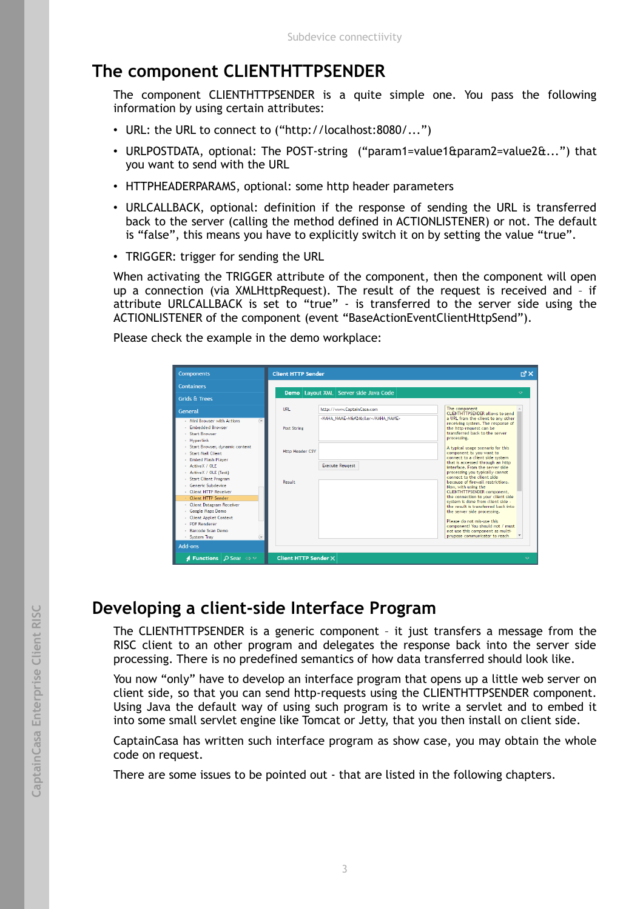# **The component CLIENTHTTPSENDER**

The component CLIENTHTTPSENDER is a quite simple one. You pass the following information by using certain attributes:

- URL: the URL to connect to ("http://localhost:8080/...")
- URLPOSTDATA, optional: The POST-string ("param1=value1&param2=value2&...") that you want to send with the URL
- HTTPHEADERPARAMS, optional: some http header parameters
- URLCALLBACK, optional: definition if the response of sending the URL is transferred back to the server (calling the method defined in ACTIONLISTENER) or not. The default is "false", this means you have to explicitly switch it on by setting the value "true".
- TRIGGER: trigger for sending the URL

When activating the TRIGGER attribute of the component, then the component will open up a connection (via XMLHttpRequest). The result of the request is received and – if attribute URLCALLBACK is set to "true" - is transferred to the server side using the ACTIONLISTENER of the component (event "BaseActionEventClientHttpSend").

Please check the example in the demo workplace:

| <b>Containers</b>                                                                                       |                                                            |                                                                                                                                                                          |
|---------------------------------------------------------------------------------------------------------|------------------------------------------------------------|--------------------------------------------------------------------------------------------------------------------------------------------------------------------------|
| <b>Grids &amp; Trees</b>                                                                                | Demo   Layout XML   Server side Java Code                  | $\mathbf{\nabla}$                                                                                                                                                        |
| General                                                                                                 | The component<br><b>LIRL</b><br>http://www.CaptainCasa.com | <b>CLIENTHTTPSENDER allows to send</b>                                                                                                                                   |
| $\circledast$<br>- Mini Browser with Actions<br><b>Embedded Browser</b><br>- Start Rrowser<br>Hyperlink | <kaha name="">Mö:ller</kaha><br>Post String<br>processing. | a URL from the client to any other<br>receiving system. The response of<br>the http-request can be<br>transferred back to the server.                                    |
| - Start Browser, dynamic content<br><b>Start Mail Client</b><br>- Embed Flash Player<br>ActiveX / OLE   | <b>Http Header CSV</b><br><b>Execute Reugest</b>           | A typical usage scenario for this<br>component is: you want to<br>connect to a client side system<br>that is accessed through an http<br>interface. From the server side |
| - ActiveX / OLE (Test)<br><b>Start Client Program</b><br>- Generic Subdevice<br>Client HTTP Receiver    | Result<br>Now, with using the                              | processing you typically cannot<br>connect to the client side.<br>because of firewall restrictions.<br>CLIENTHTTPSENDER component.                                       |
| Client HTTP Sender<br><b>Client Datagram Receiver</b><br>Google Maps Demo                               |                                                            | the connection to your client side<br>system is done from client side -<br>the result is transferred back into<br>the server side processing.                            |
| <b>Client Applet Context</b><br>- PDF Renderer<br>- Barcode Scan Demo<br>- System Tray                  |                                                            | Please do not mis-use this<br>component! You should not / must<br>not use this component as multi-<br>prupose communicator to reach                                      |

#### **Developing a client-side Interface Program**

The CLIENTHTTPSENDER is a generic component – it just transfers a message from the RISC client to an other program and delegates the response back into the server side processing. There is no predefined semantics of how data transferred should look like.

You now "only" have to develop an interface program that opens up a little web server on client side, so that you can send http-requests using the CLIENTHTTPSENDER component. Using Java the default way of using such program is to write a servlet and to embed it into some small servlet engine like Tomcat or Jetty, that you then install on client side.

CaptainCasa has written such interface program as show case, you may obtain the whole code on request.

There are some issues to be pointed out - that are listed in the following chapters.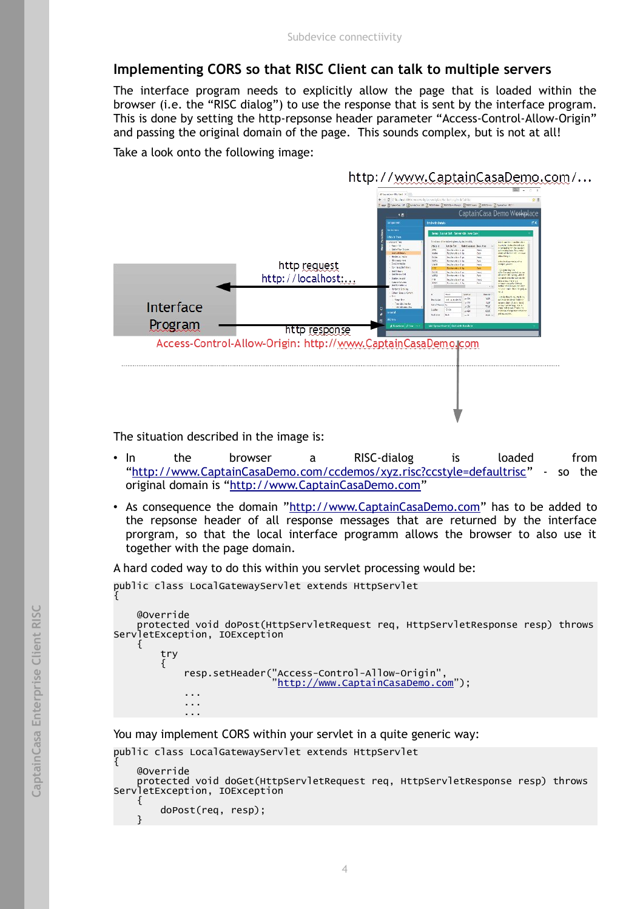#### **Implementing CORS so that RISC Client can talk to multiple servers**

The interface program needs to explicitly allow the page that is loaded within the browser (i.e. the "RISC dialog") to use the response that is sent by the interface program. This is done by setting the http-repsonse header parameter "Access-Control-Allow-Origin" and passing the original domain of the page. This sounds complex, but is not at all!

Take a look onto the following image:

http://www.CaptainCasaDemo.com/... CantainCasa Demo Workol х×. 350 Pindig Hit die Hoogle<br>1789: David Francisco<br>Lui die Frankling voor  $2, 2, 2$ http request **Louis** http://localhost:.. skin a mail in en an<br>compar des calcrides ()<br>mailes mail in east mailes<br>in source and a final de poly Interface Program http response Access-Control-Allow-Origin: http://www.CaptainCasaDemo.com

The situation described in the image is:

- In the browser a RISC-dialog is loaded from ["http://www.CaptainCasaDemo.com/ccdemos/xyz.risc?ccstyle=defaultrisc"](http://www.CaptainCasaDemo.com/ccdemos/xyz.risc?ccstyle=defaultrisc) - so the original domain is ["http://www.CaptainCasaDemo.com"](http://www.CaptainCasaDemo.com/ccdemos/xyz.risc?ccstyle=defaultrisc)
- As consequence the domain ["http://www.CaptainCasaDemo.com"](http://www.CaptainCasaDemo.com/) has to be added to the repsonse header of all response messages that are returned by the interface prorgram, so that the local interface programm allows the browser to also use it together with the page domain.

A hard coded way to do this within you servlet processing would be:

```
public class LocalGatewayServlet extends HttpServlet
{
       @Override
       protected void doPost(HttpServletRequest req, HttpServletResponse resp) throws
ServletException, IOException
       {
              try
\overline{\mathcal{L}} resp.setHeader("Access-Control-Allow-Origin",
. The model of the model of the model of the model of the model of the model \mathsf{r} and \mathsf{r} and \mathsf{r} and \mathsf{r} and \mathsf{r} and \mathsf{r} and \mathsf{r} and \mathsf{r} and \mathsf{r} and \mathsf{r} and \mathsf{r} and \ ...
                    ...
                    ...
```
You may implement CORS within your servlet in a quite generic way:

public class LocalGatewayServlet extends HttpServlet

```
{
     @Override
     protected void doGet(HttpServletRequest req, HttpServletResponse resp) throws 
ServletException, IOException
     {
         doPost(req, resp);
 }
```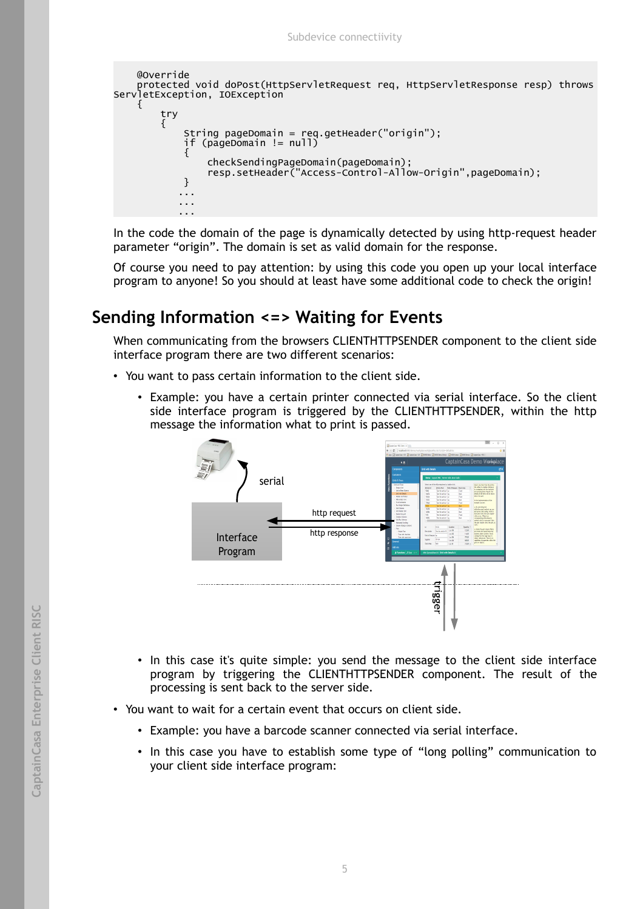

In the code the domain of the page is dynamically detected by using http-request header parameter "origin". The domain is set as valid domain for the response.

Of course you need to pay attention: by using this code you open up your local interface program to anyone! So you should at least have some additional code to check the origin!

# **Sending Information <=> Waiting for Events**

When communicating from the browsers CLIENTHTTPSENDER component to the client side interface program there are two different scenarios:

- You want to pass certain information to the client side.
	- Example: you have a certain printer connected via serial interface. So the client side interface program is triggered by the CLIENTHTTPSENDER, within the http message the information what to print is passed.



- In this case it's quite simple: you send the message to the client side interface program by triggering the CLIENTHTTPSENDER component. The result of the processing is sent back to the server side.
- You want to wait for a certain event that occurs on client side.
	- Example: you have a barcode scanner connected via serial interface.
	- In this case you have to establish some type of "long polling" communication to your client side interface program: